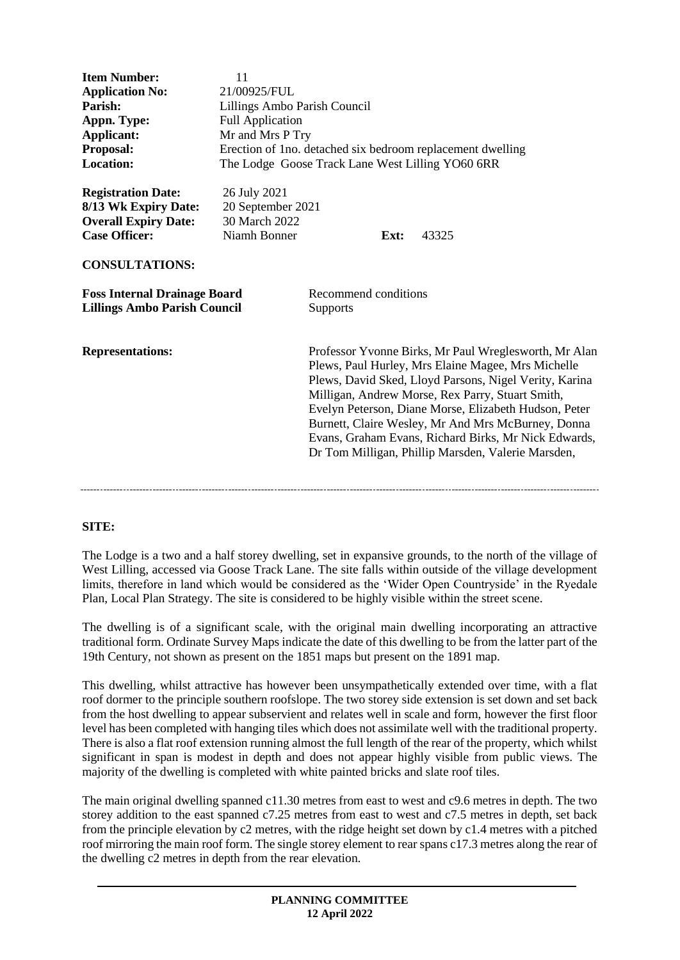| <b>Item Number:</b>                                                                                                               | 11                                                                 |                                                                                                                                                                                                                                                                                                                                                                                                                                                        |      |       |
|-----------------------------------------------------------------------------------------------------------------------------------|--------------------------------------------------------------------|--------------------------------------------------------------------------------------------------------------------------------------------------------------------------------------------------------------------------------------------------------------------------------------------------------------------------------------------------------------------------------------------------------------------------------------------------------|------|-------|
| <b>Application No:</b>                                                                                                            | 21/00925/FUL                                                       |                                                                                                                                                                                                                                                                                                                                                                                                                                                        |      |       |
| Parish:                                                                                                                           | Lillings Ambo Parish Council                                       |                                                                                                                                                                                                                                                                                                                                                                                                                                                        |      |       |
| Appn. Type:                                                                                                                       | <b>Full Application</b>                                            |                                                                                                                                                                                                                                                                                                                                                                                                                                                        |      |       |
| Applicant:                                                                                                                        | Mr and Mrs P Try                                                   |                                                                                                                                                                                                                                                                                                                                                                                                                                                        |      |       |
| Proposal:                                                                                                                         | Erection of 1no. detached six bedroom replacement dwelling         |                                                                                                                                                                                                                                                                                                                                                                                                                                                        |      |       |
| <b>Location:</b>                                                                                                                  | The Lodge Goose Track Lane West Lilling YO60 6RR                   |                                                                                                                                                                                                                                                                                                                                                                                                                                                        |      |       |
| <b>Registration Date:</b><br>8/13 Wk Expiry Date:<br><b>Overall Expiry Date:</b><br><b>Case Officer:</b><br><b>CONSULTATIONS:</b> | 26 July 2021<br>20 September 2021<br>30 March 2022<br>Niamh Bonner |                                                                                                                                                                                                                                                                                                                                                                                                                                                        | Ext: | 43325 |
| <b>Foss Internal Drainage Board</b>                                                                                               |                                                                    | Recommend conditions                                                                                                                                                                                                                                                                                                                                                                                                                                   |      |       |
| <b>Lillings Ambo Parish Council</b>                                                                                               |                                                                    | <b>Supports</b>                                                                                                                                                                                                                                                                                                                                                                                                                                        |      |       |
| <b>Representations:</b>                                                                                                           |                                                                    | Professor Yvonne Birks, Mr Paul Wreglesworth, Mr Alan<br>Plews, Paul Hurley, Mrs Elaine Magee, Mrs Michelle<br>Plews, David Sked, Lloyd Parsons, Nigel Verity, Karina<br>Milligan, Andrew Morse, Rex Parry, Stuart Smith,<br>Evelyn Peterson, Diane Morse, Elizabeth Hudson, Peter<br>Burnett, Claire Wesley, Mr And Mrs McBurney, Donna<br>Evans, Graham Evans, Richard Birks, Mr Nick Edwards,<br>Dr Tom Milligan, Phillip Marsden, Valerie Marsden, |      |       |

## **SITE:**

The Lodge is a two and a half storey dwelling, set in expansive grounds, to the north of the village of West Lilling, accessed via Goose Track Lane. The site falls within outside of the village development limits, therefore in land which would be considered as the 'Wider Open Countryside' in the Ryedale Plan, Local Plan Strategy. The site is considered to be highly visible within the street scene.

The dwelling is of a significant scale, with the original main dwelling incorporating an attractive traditional form. Ordinate Survey Maps indicate the date of this dwelling to be from the latter part of the 19th Century, not shown as present on the 1851 maps but present on the 1891 map.

This dwelling, whilst attractive has however been unsympathetically extended over time, with a flat roof dormer to the principle southern roofslope. The two storey side extension is set down and set back from the host dwelling to appear subservient and relates well in scale and form, however the first floor level has been completed with hanging tiles which does not assimilate well with the traditional property. There is also a flat roof extension running almost the full length of the rear of the property, which whilst significant in span is modest in depth and does not appear highly visible from public views. The majority of the dwelling is completed with white painted bricks and slate roof tiles.

The main original dwelling spanned c11.30 metres from east to west and c9.6 metres in depth. The two storey addition to the east spanned c7.25 metres from east to west and c7.5 metres in depth, set back from the principle elevation by c2 metres, with the ridge height set down by c1.4 metres with a pitched roof mirroring the main roof form. The single storey element to rear spans c17.3 metres along the rear of the dwelling c2 metres in depth from the rear elevation.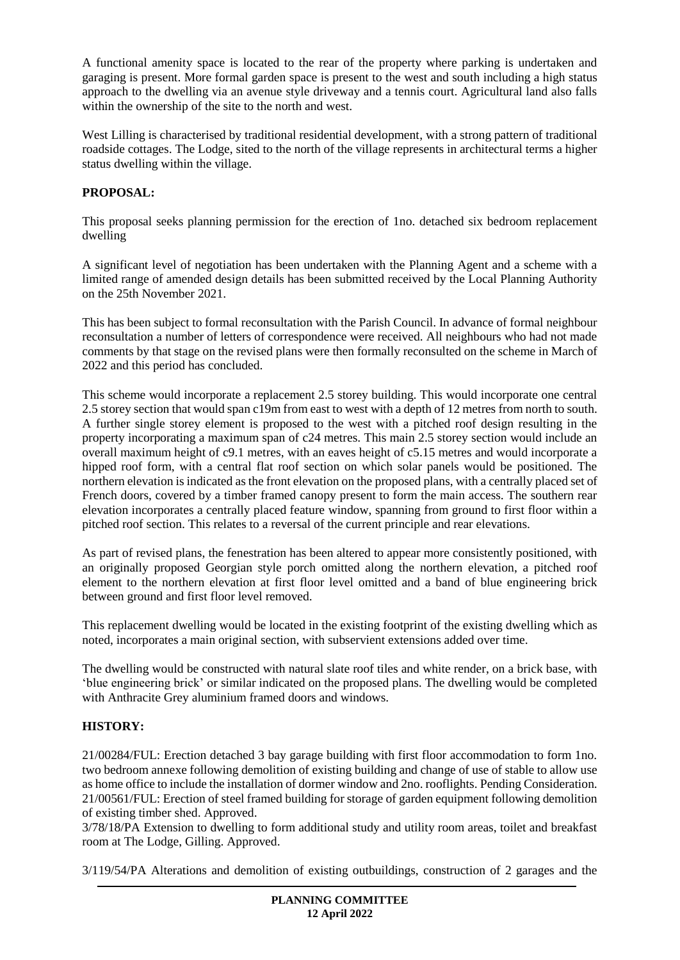A functional amenity space is located to the rear of the property where parking is undertaken and garaging is present. More formal garden space is present to the west and south including a high status approach to the dwelling via an avenue style driveway and a tennis court. Agricultural land also falls within the ownership of the site to the north and west.

West Lilling is characterised by traditional residential development, with a strong pattern of traditional roadside cottages. The Lodge, sited to the north of the village represents in architectural terms a higher status dwelling within the village.

# **PROPOSAL:**

This proposal seeks planning permission for the erection of 1no. detached six bedroom replacement dwelling

A significant level of negotiation has been undertaken with the Planning Agent and a scheme with a limited range of amended design details has been submitted received by the Local Planning Authority on the 25th November 2021.

This has been subject to formal reconsultation with the Parish Council. In advance of formal neighbour reconsultation a number of letters of correspondence were received. All neighbours who had not made comments by that stage on the revised plans were then formally reconsulted on the scheme in March of 2022 and this period has concluded.

This scheme would incorporate a replacement 2.5 storey building. This would incorporate one central 2.5 storey section that would span c19m from east to west with a depth of 12 metres from north to south. A further single storey element is proposed to the west with a pitched roof design resulting in the property incorporating a maximum span of c24 metres. This main 2.5 storey section would include an overall maximum height of c9.1 metres, with an eaves height of c5.15 metres and would incorporate a hipped roof form, with a central flat roof section on which solar panels would be positioned. The northern elevation is indicated as the front elevation on the proposed plans, with a centrally placed set of French doors, covered by a timber framed canopy present to form the main access. The southern rear elevation incorporates a centrally placed feature window, spanning from ground to first floor within a pitched roof section. This relates to a reversal of the current principle and rear elevations.

As part of revised plans, the fenestration has been altered to appear more consistently positioned, with an originally proposed Georgian style porch omitted along the northern elevation, a pitched roof element to the northern elevation at first floor level omitted and a band of blue engineering brick between ground and first floor level removed.

This replacement dwelling would be located in the existing footprint of the existing dwelling which as noted, incorporates a main original section, with subservient extensions added over time.

The dwelling would be constructed with natural slate roof tiles and white render, on a brick base, with 'blue engineering brick' or similar indicated on the proposed plans. The dwelling would be completed with Anthracite Grey aluminium framed doors and windows.

## **HISTORY:**

21/00284/FUL: Erection detached 3 bay garage building with first floor accommodation to form 1no. two bedroom annexe following demolition of existing building and change of use of stable to allow use as home office to include the installation of dormer window and 2no. rooflights. Pending Consideration. 21/00561/FUL: Erection of steel framed building for storage of garden equipment following demolition of existing timber shed. Approved.

3/78/18/PA Extension to dwelling to form additional study and utility room areas, toilet and breakfast room at The Lodge, Gilling. Approved.

3/119/54/PA Alterations and demolition of existing outbuildings, construction of 2 garages and the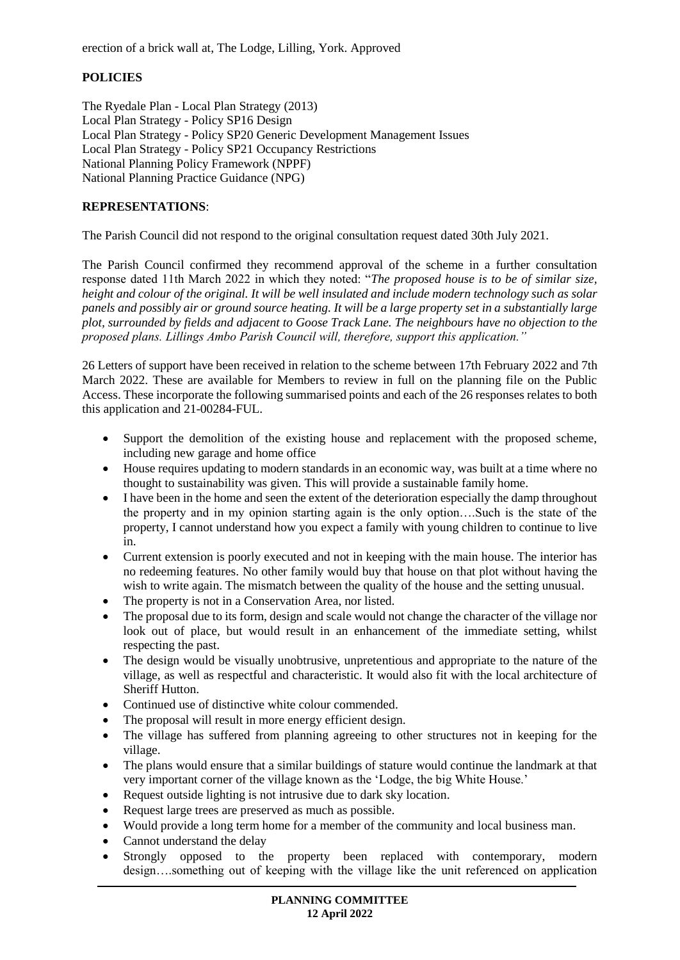erection of a brick wall at, The Lodge, Lilling, York. Approved

### **POLICIES**

The Ryedale Plan - Local Plan Strategy (2013) Local Plan Strategy - Policy SP16 Design Local Plan Strategy - Policy SP20 Generic Development Management Issues Local Plan Strategy - Policy SP21 Occupancy Restrictions National Planning Policy Framework (NPPF) National Planning Practice Guidance (NPG)

#### **REPRESENTATIONS**:

The Parish Council did not respond to the original consultation request dated 30th July 2021.

The Parish Council confirmed they recommend approval of the scheme in a further consultation response dated 11th March 2022 in which they noted: "*The proposed house is to be of similar size, height and colour of the original. It will be well insulated and include modern technology such as solar panels and possibly air or ground source heating. It will be a large property set in a substantially large plot, surrounded by fields and adjacent to Goose Track Lane. The neighbours have no objection to the proposed plans. Lillings Ambo Parish Council will, therefore, support this application."*

26 Letters of support have been received in relation to the scheme between 17th February 2022 and 7th March 2022. These are available for Members to review in full on the planning file on the Public Access. These incorporate the following summarised points and each of the 26 responses relates to both this application and 21-00284-FUL.

- Support the demolition of the existing house and replacement with the proposed scheme, including new garage and home office
- House requires updating to modern standards in an economic way, was built at a time where no thought to sustainability was given. This will provide a sustainable family home.
- I have been in the home and seen the extent of the deterioration especially the damp throughout the property and in my opinion starting again is the only option….Such is the state of the property, I cannot understand how you expect a family with young children to continue to live in.
- Current extension is poorly executed and not in keeping with the main house. The interior has no redeeming features. No other family would buy that house on that plot without having the wish to write again. The mismatch between the quality of the house and the setting unusual.
- The property is not in a Conservation Area, nor listed.
- The proposal due to its form, design and scale would not change the character of the village nor look out of place, but would result in an enhancement of the immediate setting, whilst respecting the past.
- The design would be visually unobtrusive, unpretentious and appropriate to the nature of the village, as well as respectful and characteristic. It would also fit with the local architecture of Sheriff Hutton.
- Continued use of distinctive white colour commended.
- The proposal will result in more energy efficient design.
- The village has suffered from planning agreeing to other structures not in keeping for the village.
- The plans would ensure that a similar buildings of stature would continue the landmark at that very important corner of the village known as the 'Lodge, the big White House.'
- Request outside lighting is not intrusive due to dark sky location.
- Request large trees are preserved as much as possible.
- Would provide a long term home for a member of the community and local business man.
- Cannot understand the delay
- Strongly opposed to the property been replaced with contemporary, modern design….something out of keeping with the village like the unit referenced on application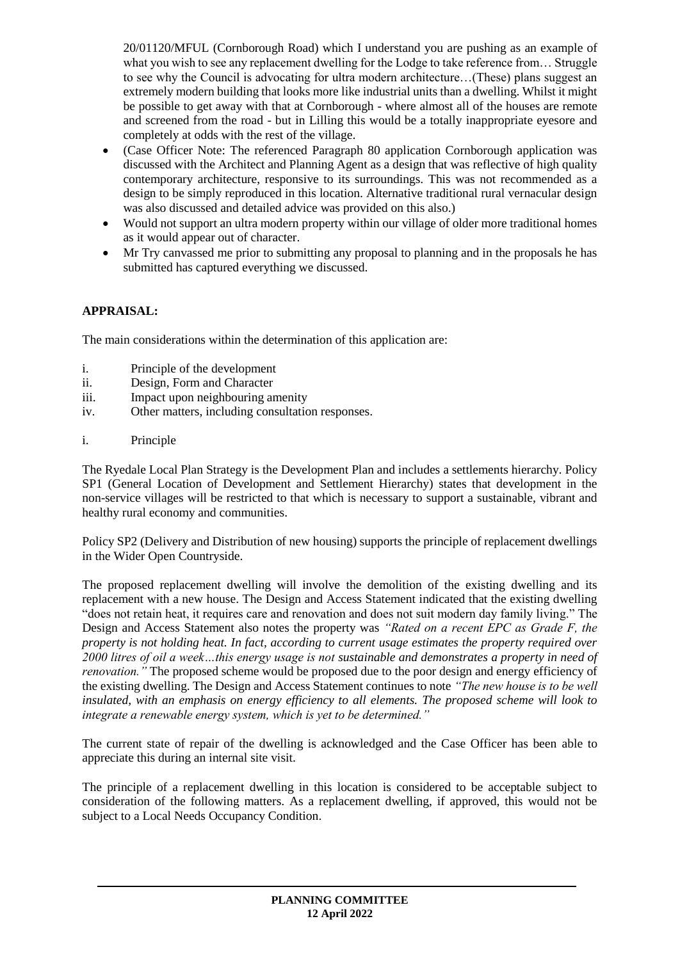20/01120/MFUL (Cornborough Road) which I understand you are pushing as an example of what you wish to see any replacement dwelling for the Lodge to take reference from... Struggle to see why the Council is advocating for ultra modern architecture…(These) plans suggest an extremely modern building that looks more like industrial units than a dwelling. Whilst it might be possible to get away with that at Cornborough - where almost all of the houses are remote and screened from the road - but in Lilling this would be a totally inappropriate eyesore and completely at odds with the rest of the village.

- (Case Officer Note: The referenced Paragraph 80 application Cornborough application was discussed with the Architect and Planning Agent as a design that was reflective of high quality contemporary architecture, responsive to its surroundings. This was not recommended as a design to be simply reproduced in this location. Alternative traditional rural vernacular design was also discussed and detailed advice was provided on this also.)
- Would not support an ultra modern property within our village of older more traditional homes as it would appear out of character.
- Mr Try canvassed me prior to submitting any proposal to planning and in the proposals he has submitted has captured everything we discussed.

### **APPRAISAL:**

The main considerations within the determination of this application are:

- i. Principle of the development
- ii. Design, Form and Character
- iii. Impact upon neighbouring amenity
- iv. Other matters, including consultation responses.
- i. Principle

The Ryedale Local Plan Strategy is the Development Plan and includes a settlements hierarchy. Policy SP1 (General Location of Development and Settlement Hierarchy) states that development in the non-service villages will be restricted to that which is necessary to support a sustainable, vibrant and healthy rural economy and communities.

Policy SP2 (Delivery and Distribution of new housing) supports the principle of replacement dwellings in the Wider Open Countryside.

The proposed replacement dwelling will involve the demolition of the existing dwelling and its replacement with a new house. The Design and Access Statement indicated that the existing dwelling "does not retain heat, it requires care and renovation and does not suit modern day family living." The Design and Access Statement also notes the property was *"Rated on a recent EPC as Grade F, the property is not holding heat. In fact, according to current usage estimates the property required over 2000 litres of oil a week…this energy usage is not sustainable and demonstrates a property in need of renovation.*" The proposed scheme would be proposed due to the poor design and energy efficiency of the existing dwelling. The Design and Access Statement continues to note *"The new house is to be well insulated, with an emphasis on energy efficiency to all elements. The proposed scheme will look to integrate a renewable energy system, which is yet to be determined."*

The current state of repair of the dwelling is acknowledged and the Case Officer has been able to appreciate this during an internal site visit.

The principle of a replacement dwelling in this location is considered to be acceptable subject to consideration of the following matters. As a replacement dwelling, if approved, this would not be subject to a Local Needs Occupancy Condition.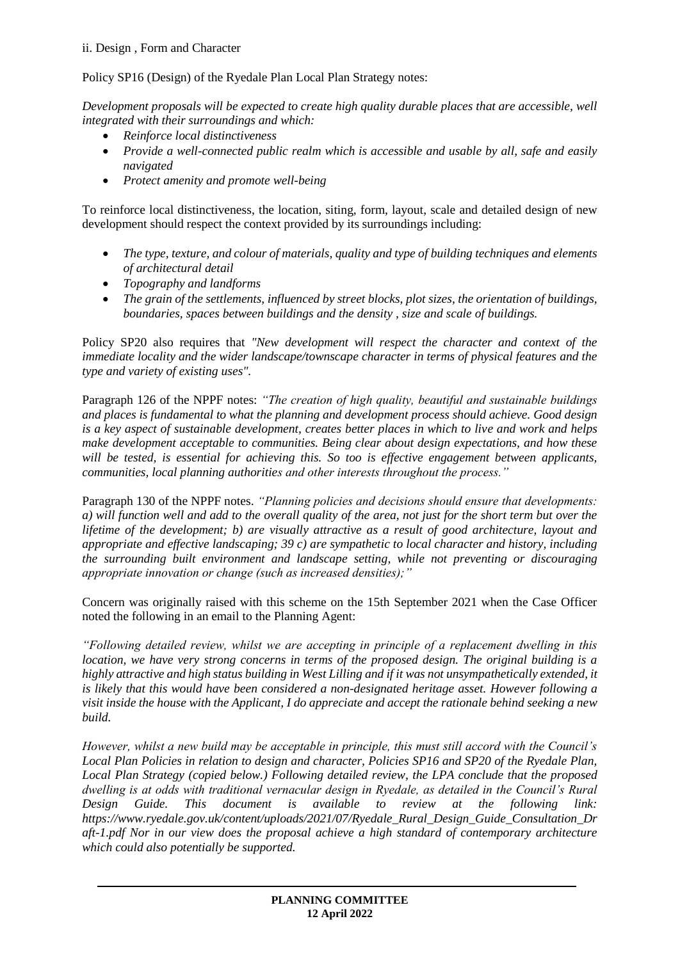### ii. Design , Form and Character

Policy SP16 (Design) of the Ryedale Plan Local Plan Strategy notes:

*Development proposals will be expected to create high quality durable places that are accessible, well integrated with their surroundings and which:* 

- *Reinforce local distinctiveness*
- *Provide a well-connected public realm which is accessible and usable by all, safe and easily navigated*
- *Protect amenity and promote well-being*

To reinforce local distinctiveness, the location, siting, form, layout, scale and detailed design of new development should respect the context provided by its surroundings including:

- *The type, texture, and colour of materials, quality and type of building techniques and elements of architectural detail*
- *Topography and landforms*
- *The grain of the settlements, influenced by street blocks, plot sizes, the orientation of buildings, boundaries, spaces between buildings and the density , size and scale of buildings.*

Policy SP20 also requires that *"New development will respect the character and context of the immediate locality and the wider landscape/townscape character in terms of physical features and the type and variety of existing uses".*

Paragraph 126 of the NPPF notes: *"The creation of high quality, beautiful and sustainable buildings and places is fundamental to what the planning and development process should achieve. Good design is a key aspect of sustainable development, creates better places in which to live and work and helps make development acceptable to communities. Being clear about design expectations, and how these will be tested, is essential for achieving this. So too is effective engagement between applicants, communities, local planning authorities and other interests throughout the process."*

Paragraph 130 of the NPPF notes. *"Planning policies and decisions should ensure that developments: a) will function well and add to the overall quality of the area, not just for the short term but over the lifetime of the development; b) are visually attractive as a result of good architecture, layout and appropriate and effective landscaping; 39 c) are sympathetic to local character and history, including the surrounding built environment and landscape setting, while not preventing or discouraging appropriate innovation or change (such as increased densities);"*

Concern was originally raised with this scheme on the 15th September 2021 when the Case Officer noted the following in an email to the Planning Agent:

*"Following detailed review, whilst we are accepting in principle of a replacement dwelling in this location, we have very strong concerns in terms of the proposed design. The original building is a highly attractive and high status building in West Lilling and if it was not unsympathetically extended, it is likely that this would have been considered a non-designated heritage asset. However following a visit inside the house with the Applicant, I do appreciate and accept the rationale behind seeking a new build.* 

*However, whilst a new build may be acceptable in principle, this must still accord with the Council's Local Plan Policies in relation to design and character, Policies SP16 and SP20 of the Ryedale Plan, Local Plan Strategy (copied below.) Following detailed review, the LPA conclude that the proposed dwelling is at odds with traditional vernacular design in Ryedale, as detailed in the Council's Rural Design Guide. This document is available to review at the following link: https://www.ryedale.gov.uk/content/uploads/2021/07/Ryedale\_Rural\_Design\_Guide\_Consultation\_Dr aft-1.pdf Nor in our view does the proposal achieve a high standard of contemporary architecture which could also potentially be supported.*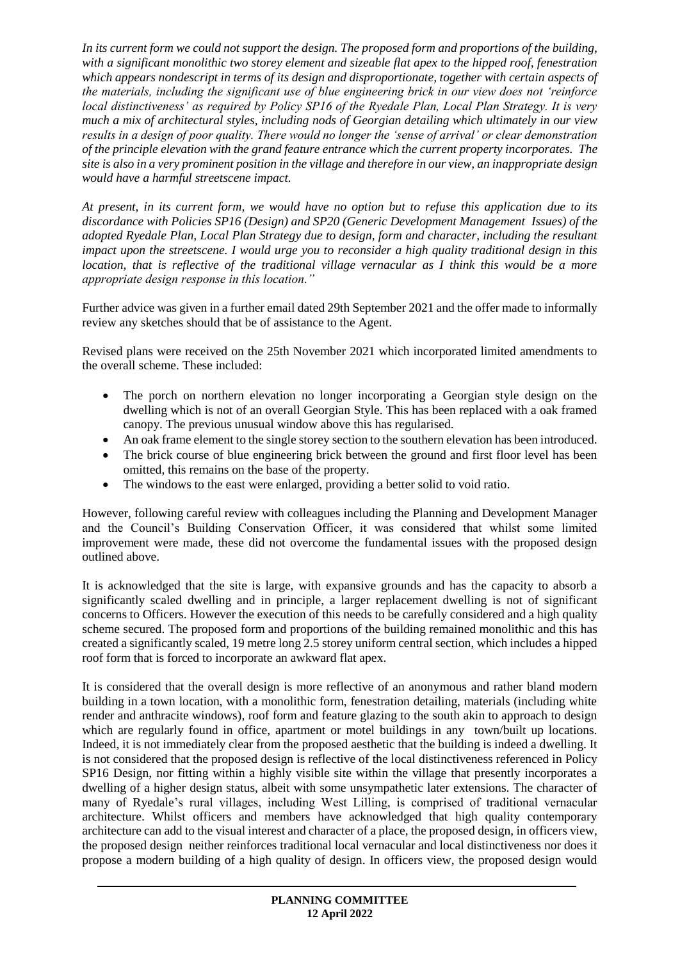*In its current form we could not support the design. The proposed form and proportions of the building, with a significant monolithic two storey element and sizeable flat apex to the hipped roof, fenestration which appears nondescript in terms of its design and disproportionate, together with certain aspects of the materials, including the significant use of blue engineering brick in our view does not 'reinforce local distinctiveness' as required by Policy SP16 of the Ryedale Plan, Local Plan Strategy. It is very much a mix of architectural styles, including nods of Georgian detailing which ultimately in our view results in a design of poor quality. There would no longer the 'sense of arrival' or clear demonstration of the principle elevation with the grand feature entrance which the current property incorporates. The site is also in a very prominent position in the village and therefore in our view, an inappropriate design would have a harmful streetscene impact.* 

*At present, in its current form, we would have no option but to refuse this application due to its discordance with Policies SP16 (Design) and SP20 (Generic Development Management Issues) of the adopted Ryedale Plan, Local Plan Strategy due to design, form and character, including the resultant impact upon the streetscene. I would urge you to reconsider a high quality traditional design in this location, that is reflective of the traditional village vernacular as I think this would be a more appropriate design response in this location."* 

Further advice was given in a further email dated 29th September 2021 and the offer made to informally review any sketches should that be of assistance to the Agent.

Revised plans were received on the 25th November 2021 which incorporated limited amendments to the overall scheme. These included:

- The porch on northern elevation no longer incorporating a Georgian style design on the dwelling which is not of an overall Georgian Style. This has been replaced with a oak framed canopy. The previous unusual window above this has regularised.
- An oak frame element to the single storey section to the southern elevation has been introduced.
- The brick course of blue engineering brick between the ground and first floor level has been omitted, this remains on the base of the property.
- The windows to the east were enlarged, providing a better solid to void ratio.

However, following careful review with colleagues including the Planning and Development Manager and the Council's Building Conservation Officer, it was considered that whilst some limited improvement were made, these did not overcome the fundamental issues with the proposed design outlined above.

It is acknowledged that the site is large, with expansive grounds and has the capacity to absorb a significantly scaled dwelling and in principle, a larger replacement dwelling is not of significant concerns to Officers. However the execution of this needs to be carefully considered and a high quality scheme secured. The proposed form and proportions of the building remained monolithic and this has created a significantly scaled, 19 metre long 2.5 storey uniform central section, which includes a hipped roof form that is forced to incorporate an awkward flat apex.

It is considered that the overall design is more reflective of an anonymous and rather bland modern building in a town location, with a monolithic form, fenestration detailing, materials (including white render and anthracite windows), roof form and feature glazing to the south akin to approach to design which are regularly found in office, apartment or motel buildings in any town/built up locations. Indeed, it is not immediately clear from the proposed aesthetic that the building is indeed a dwelling. It is not considered that the proposed design is reflective of the local distinctiveness referenced in Policy SP16 Design, nor fitting within a highly visible site within the village that presently incorporates a dwelling of a higher design status, albeit with some unsympathetic later extensions. The character of many of Ryedale's rural villages, including West Lilling, is comprised of traditional vernacular architecture. Whilst officers and members have acknowledged that high quality contemporary architecture can add to the visual interest and character of a place, the proposed design, in officers view, the proposed design neither reinforces traditional local vernacular and local distinctiveness nor does it propose a modern building of a high quality of design. In officers view, the proposed design would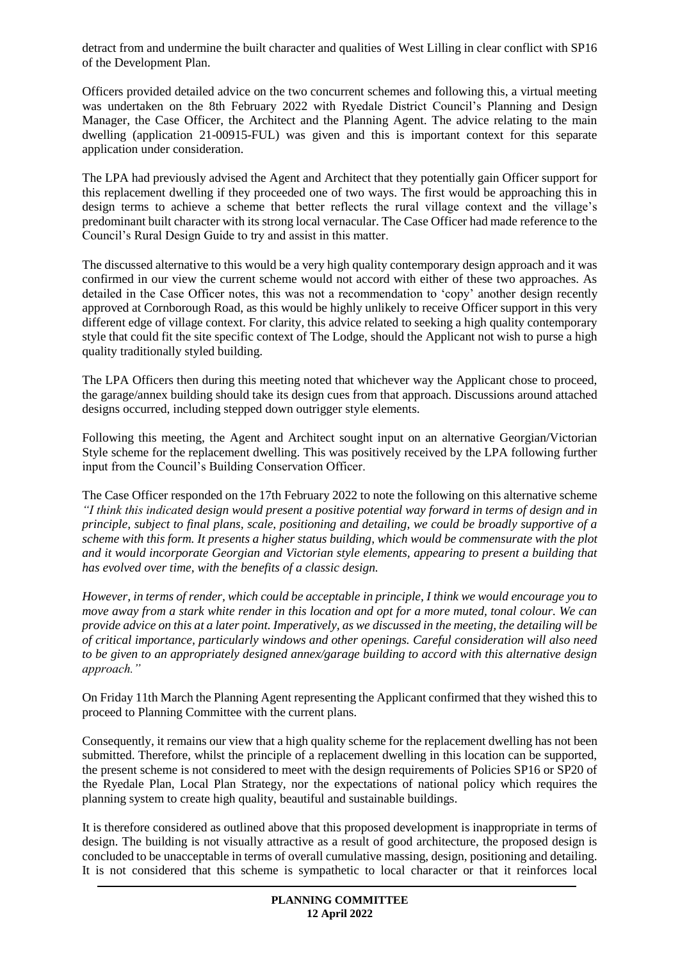detract from and undermine the built character and qualities of West Lilling in clear conflict with SP16 of the Development Plan.

Officers provided detailed advice on the two concurrent schemes and following this, a virtual meeting was undertaken on the 8th February 2022 with Ryedale District Council's Planning and Design Manager, the Case Officer, the Architect and the Planning Agent. The advice relating to the main dwelling (application 21-00915-FUL) was given and this is important context for this separate application under consideration.

The LPA had previously advised the Agent and Architect that they potentially gain Officer support for this replacement dwelling if they proceeded one of two ways. The first would be approaching this in design terms to achieve a scheme that better reflects the rural village context and the village's predominant built character with its strong local vernacular. The Case Officer had made reference to the Council's Rural Design Guide to try and assist in this matter.

The discussed alternative to this would be a very high quality contemporary design approach and it was confirmed in our view the current scheme would not accord with either of these two approaches. As detailed in the Case Officer notes, this was not a recommendation to 'copy' another design recently approved at Cornborough Road, as this would be highly unlikely to receive Officer support in this very different edge of village context. For clarity, this advice related to seeking a high quality contemporary style that could fit the site specific context of The Lodge, should the Applicant not wish to purse a high quality traditionally styled building.

The LPA Officers then during this meeting noted that whichever way the Applicant chose to proceed, the garage/annex building should take its design cues from that approach. Discussions around attached designs occurred, including stepped down outrigger style elements.

Following this meeting, the Agent and Architect sought input on an alternative Georgian/Victorian Style scheme for the replacement dwelling. This was positively received by the LPA following further input from the Council's Building Conservation Officer.

The Case Officer responded on the 17th February 2022 to note the following on this alternative scheme *"I think this indicated design would present a positive potential way forward in terms of design and in principle, subject to final plans, scale, positioning and detailing, we could be broadly supportive of a scheme with this form. It presents a higher status building, which would be commensurate with the plot and it would incorporate Georgian and Victorian style elements, appearing to present a building that has evolved over time, with the benefits of a classic design.* 

*However, in terms of render, which could be acceptable in principle, I think we would encourage you to move away from a stark white render in this location and opt for a more muted, tonal colour. We can provide advice on this at a later point. Imperatively, as we discussed in the meeting, the detailing will be of critical importance, particularly windows and other openings. Careful consideration will also need to be given to an appropriately designed annex/garage building to accord with this alternative design approach."*

On Friday 11th March the Planning Agent representing the Applicant confirmed that they wished this to proceed to Planning Committee with the current plans.

Consequently, it remains our view that a high quality scheme for the replacement dwelling has not been submitted. Therefore, whilst the principle of a replacement dwelling in this location can be supported, the present scheme is not considered to meet with the design requirements of Policies SP16 or SP20 of the Ryedale Plan, Local Plan Strategy, nor the expectations of national policy which requires the planning system to create high quality, beautiful and sustainable buildings.

It is therefore considered as outlined above that this proposed development is inappropriate in terms of design. The building is not visually attractive as a result of good architecture, the proposed design is concluded to be unacceptable in terms of overall cumulative massing, design, positioning and detailing. It is not considered that this scheme is sympathetic to local character or that it reinforces local